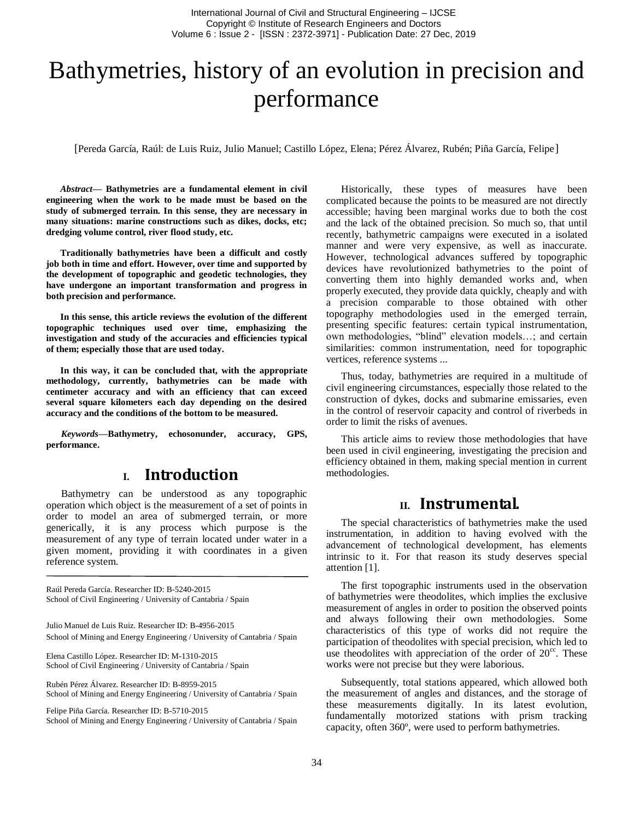# Bathymetries, history of an evolution in precision and performance

[Pereda García, Raúl: de Luis Ruiz, Julio Manuel; Castillo López, Elena; Pérez Álvarez, Rubén; Piña García, Felipe]

*Abstract***— Bathymetries are a fundamental element in civil engineering when the work to be made must be based on the study of submerged terrain. In this sense, they are necessary in many situations: marine constructions such as dikes, docks, etc; dredging volume control, river flood study, etc.**

**Traditionally bathymetries have been a difficult and costly job both in time and effort. However, over time and supported by the development of topographic and geodetic technologies, they have undergone an important transformation and progress in both precision and performance.**

**In this sense, this article reviews the evolution of the different topographic techniques used over time, emphasizing the investigation and study of the accuracies and efficiencies typical of them; especially those that are used today.**

**In this way, it can be concluded that, with the appropriate methodology, currently, bathymetries can be made with centimeter accuracy and with an efficiency that can exceed several square kilometers each day depending on the desired accuracy and the conditions of the bottom to be measured.**

*Keywords—***Bathymetry, echosonunder, accuracy, GPS, performance.**

#### **I. Introduction**

Bathymetry can be understood as any topographic operation which object is the measurement of a set of points in order to model an area of submerged terrain, or more generically, it is any process which purpose is the measurement of any type of terrain located under water in a given moment, providing it with coordinates in a given reference system.

Raúl Pereda García. Researcher ID: B-5240-2015 School of Civil Engineering / University of Cantabria / Spain

Julio Manuel de Luis Ruiz. Researcher ID: B-4956-2015 School of Mining and Energy Engineering / University of Cantabria / Spain

Elena Castillo López. Researcher ID: M-1310-2015 School of Civil Engineering / University of Cantabria / Spain

Rubén Pérez Álvarez. Researcher ID: B-8959-2015 School of Mining and Energy Engineering / University of Cantabria / Spain

Felipe Piña García. Researcher ID: B-5710-2015 School of Mining and Energy Engineering / University of Cantabria / Spain

Historically, these types of measures have been complicated because the points to be measured are not directly accessible; having been marginal works due to both the cost and the lack of the obtained precision. So much so, that until recently, bathymetric campaigns were executed in a isolated manner and were very expensive, as well as inaccurate. However, technological advances suffered by topographic devices have revolutionized bathymetries to the point of converting them into highly demanded works and, when properly executed, they provide data quickly, cheaply and with a precision comparable to those obtained with other topography methodologies used in the emerged terrain, presenting specific features: certain typical instrumentation, own methodologies, "blind" elevation models…; and certain similarities: common instrumentation, need for topographic vertices, reference systems ...

Thus, today, bathymetries are required in a multitude of civil engineering circumstances, especially those related to the construction of dykes, docks and submarine emissaries, even in the control of reservoir capacity and control of riverbeds in order to limit the risks of avenues.

This article aims to review those methodologies that have been used in civil engineering, investigating the precision and efficiency obtained in them, making special mention in current methodologies.

#### **II. Instrumental.**

The special characteristics of bathymetries make the used instrumentation, in addition to having evolved with the advancement of technological development, has elements intrinsic to it. For that reason its study deserves special attention [1].

The first topographic instruments used in the observation of bathymetries were theodolites, which implies the exclusive measurement of angles in order to position the observed points and always following their own methodologies. Some characteristics of this type of works did not require the participation of theodolites with special precision, which led to use theodolites with appreciation of the order of  $20^{\circ}$ . These works were not precise but they were laborious.

Subsequently, total stations appeared, which allowed both the measurement of angles and distances, and the storage of these measurements digitally. In its latest evolution, fundamentally motorized stations with prism tracking capacity, often 360º, were used to perform bathymetries.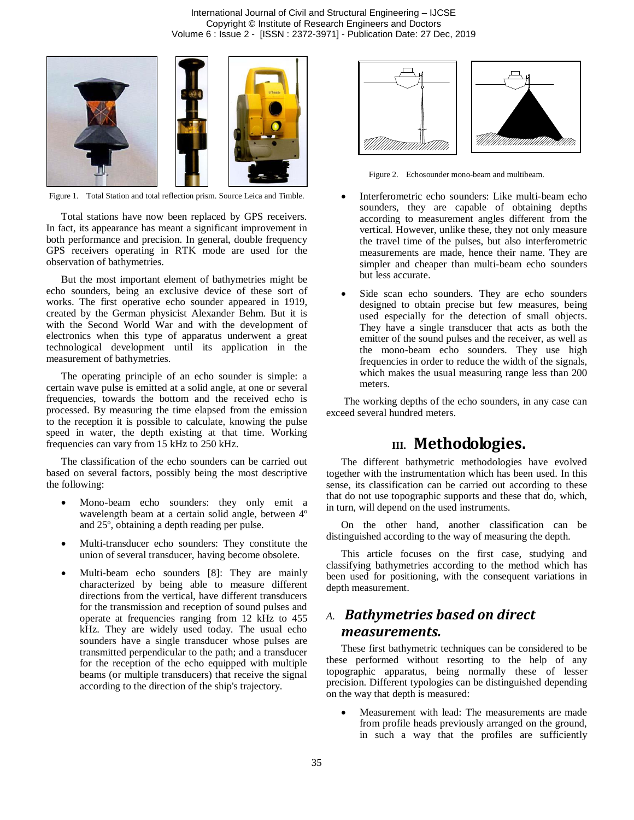International Journal of Civil and Structural Engineering – IJCSE Copyright © Institute of Research Engineers and Doctors Volume 6 : Issue 2 - [ISSN : 2372-3971] - Publication Date: 27 Dec, 2019



Figure 1. Total Station and total reflection prism. Source Leica and Timble.

Total stations have now been replaced by GPS receivers. In fact, its appearance has meant a significant improvement in both performance and precision. In general, double frequency GPS receivers operating in RTK mode are used for the observation of bathymetries.

But the most important element of bathymetries might be echo sounders, being an exclusive device of these sort of works. The first operative echo sounder appeared in 1919, created by the German physicist Alexander Behm. But it is with the Second World War and with the development of electronics when this type of apparatus underwent a great technological development until its application in the measurement of bathymetries.

The operating principle of an echo sounder is simple: a certain wave pulse is emitted at a solid angle, at one or several frequencies, towards the bottom and the received echo is processed. By measuring the time elapsed from the emission to the reception it is possible to calculate, knowing the pulse speed in water, the depth existing at that time. Working frequencies can vary from 15 kHz to 250 kHz.

The classification of the echo sounders can be carried out based on several factors, possibly being the most descriptive the following:

- Mono-beam echo sounders: they only emit a wavelength beam at a certain solid angle, between 4º and 25º, obtaining a depth reading per pulse.
- Multi-transducer echo sounders: They constitute the union of several transducer, having become obsolete.
- Multi-beam echo sounders [8]: They are mainly characterized by being able to measure different directions from the vertical, have different transducers for the transmission and reception of sound pulses and operate at frequencies ranging from 12 kHz to 455 kHz. They are widely used today. The usual echo sounders have a single transducer whose pulses are transmitted perpendicular to the path; and a transducer for the reception of the echo equipped with multiple beams (or multiple transducers) that receive the signal according to the direction of the ship's trajectory.



Figure 2. Echosounder mono-beam and multibeam.

- Interferometric echo sounders: Like multi-beam echo sounders, they are capable of obtaining depths according to measurement angles different from the vertical. However, unlike these, they not only measure the travel time of the pulses, but also interferometric measurements are made, hence their name. They are simpler and cheaper than multi-beam echo sounders but less accurate.
- Side scan echo sounders. They are echo sounders designed to obtain precise but few measures, being used especially for the detection of small objects. They have a single transducer that acts as both the emitter of the sound pulses and the receiver, as well as the mono-beam echo sounders. They use high frequencies in order to reduce the width of the signals, which makes the usual measuring range less than 200 meters.

The working depths of the echo sounders, in any case can exceed several hundred meters.

## **III. Methodologies.**

The different bathymetric methodologies have evolved together with the instrumentation which has been used. In this sense, its classification can be carried out according to these that do not use topographic supports and these that do, which, in turn, will depend on the used instruments.

On the other hand, another classification can be distinguished according to the way of measuring the depth.

This article focuses on the first case, studying and classifying bathymetries according to the method which has been used for positioning, with the consequent variations in depth measurement.

## *A. Bathymetries based on direct measurements.*

These first bathymetric techniques can be considered to be these performed without resorting to the help of any topographic apparatus, being normally these of lesser precision. Different typologies can be distinguished depending on the way that depth is measured:

 Measurement with lead: The measurements are made from profile heads previously arranged on the ground, in such a way that the profiles are sufficiently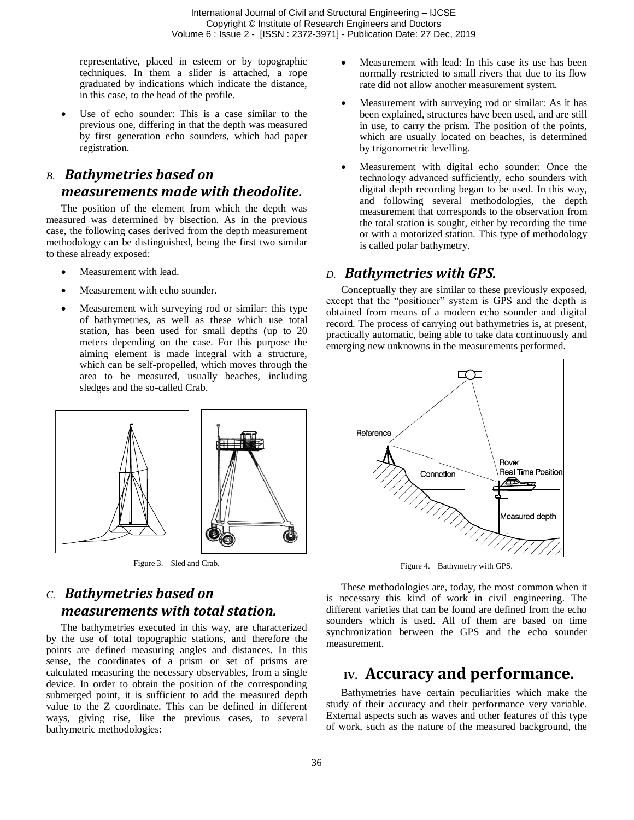representative, placed in esteem or by topographic techniques. In them a slider is attached, a rope graduated by indications which indicate the distance, in this case, to the head of the profile.

 Use of echo sounder: This is a case similar to the previous one, differing in that the depth was measured by first generation echo sounders, which had paper registration.

## *B. Bathymetries based on measurements made with theodolite.*

The position of the element from which the depth was measured was determined by bisection. As in the previous case, the following cases derived from the depth measurement methodology can be distinguished, being the first two similar to these already exposed:

- Measurement with lead.
- Measurement with echo sounder.
- Measurement with surveying rod or similar: this type of bathymetries, as well as these which use total station, has been used for small depths (up to 20 meters depending on the case. For this purpose the aiming element is made integral with a structure, which can be self-propelled, which moves through the area to be measured, usually beaches, including sledges and the so-called Crab.



Figure 3. Sled and Crab.

## *C. Bathymetries based on measurements with total station.*

The bathymetries executed in this way, are characterized by the use of total topographic stations, and therefore the points are defined measuring angles and distances. In this sense, the coordinates of a prism or set of prisms are calculated measuring the necessary observables, from a single device. In order to obtain the position of the corresponding submerged point, it is sufficient to add the measured depth value to the Z coordinate. This can be defined in different ways, giving rise, like the previous cases, to several bathymetric methodologies:

- Measurement with lead: In this case its use has been normally restricted to small rivers that due to its flow rate did not allow another measurement system.
- Measurement with surveying rod or similar: As it has been explained, structures have been used, and are still in use, to carry the prism. The position of the points, which are usually located on beaches, is determined by trigonometric levelling.
- Measurement with digital echo sounder: Once the technology advanced sufficiently, echo sounders with digital depth recording began to be used. In this way, and following several methodologies, the depth measurement that corresponds to the observation from the total station is sought, either by recording the time or with a motorized station. This type of methodology is called polar bathymetry.

#### *D. Bathymetries with GPS.*

Conceptually they are similar to these previously exposed, except that the "positioner" system is GPS and the depth is obtained from means of a modern echo sounder and digital record. The process of carrying out bathymetries is, at present, practically automatic, being able to take data continuously and emerging new unknowns in the measurements performed.



Figure 4. Bathymetry with GPS.

These methodologies are, today, the most common when it is necessary this kind of work in civil engineering. The different varieties that can be found are defined from the echo sounders which is used. All of them are based on time synchronization between the GPS and the echo sounder measurement.

## **IV. Accuracy and performance.**

Bathymetries have certain peculiarities which make the study of their accuracy and their performance very variable. External aspects such as waves and other features of this type of work, such as the nature of the measured background, the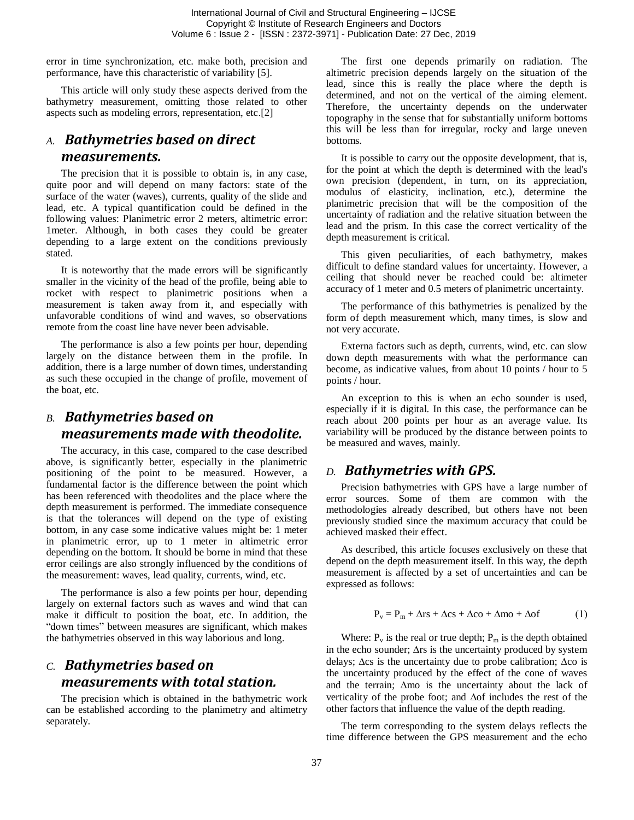error in time synchronization, etc. make both, precision and performance, have this characteristic of variability [5].

This article will only study these aspects derived from the bathymetry measurement, omitting those related to other aspects such as modeling errors, representation, etc.[2]

## *A. Bathymetries based on direct measurements.*

The precision that it is possible to obtain is, in any case, quite poor and will depend on many factors: state of the surface of the water (waves), currents, quality of the slide and lead, etc. A typical quantification could be defined in the following values: Planimetric error 2 meters, altimetric error: 1meter. Although, in both cases they could be greater depending to a large extent on the conditions previously stated.

It is noteworthy that the made errors will be significantly smaller in the vicinity of the head of the profile, being able to rocket with respect to planimetric positions when a measurement is taken away from it, and especially with unfavorable conditions of wind and waves, so observations remote from the coast line have never been advisable.

The performance is also a few points per hour, depending largely on the distance between them in the profile. In addition, there is a large number of down times, understanding as such these occupied in the change of profile, movement of the boat, etc.

## *B. Bathymetries based on measurements made with theodolite.*

The accuracy, in this case, compared to the case described above, is significantly better, especially in the planimetric positioning of the point to be measured. However, a fundamental factor is the difference between the point which has been referenced with theodolites and the place where the depth measurement is performed. The immediate consequence is that the tolerances will depend on the type of existing bottom, in any case some indicative values might be: 1 meter in planimetric error, up to 1 meter in altimetric error depending on the bottom. It should be borne in mind that these error ceilings are also strongly influenced by the conditions of the measurement: waves, lead quality, currents, wind, etc.

The performance is also a few points per hour, depending largely on external factors such as waves and wind that can make it difficult to position the boat, etc. In addition, the "down times" between measures are significant, which makes the bathymetries observed in this way laborious and long.

## *C. Bathymetries based on measurements with total station.*

The precision which is obtained in the bathymetric work can be established according to the planimetry and altimetry separately.

The first one depends primarily on radiation. The altimetric precision depends largely on the situation of the lead, since this is really the place where the depth is determined, and not on the vertical of the aiming element. Therefore, the uncertainty depends on the underwater topography in the sense that for substantially uniform bottoms this will be less than for irregular, rocky and large uneven bottoms.

It is possible to carry out the opposite development, that is, for the point at which the depth is determined with the lead's own precision (dependent, in turn, on its appreciation, modulus of elasticity, inclination, etc.), determine the planimetric precision that will be the composition of the uncertainty of radiation and the relative situation between the lead and the prism. In this case the correct verticality of the depth measurement is critical.

This given peculiarities, of each bathymetry, makes difficult to define standard values for uncertainty. However, a ceiling that should never be reached could be: altimeter accuracy of 1 meter and 0.5 meters of planimetric uncertainty.

The performance of this bathymetries is penalized by the form of depth measurement which, many times, is slow and not very accurate.

Externa factors such as depth, currents, wind, etc. can slow down depth measurements with what the performance can become, as indicative values, from about 10 points / hour to 5 points / hour.

An exception to this is when an echo sounder is used, especially if it is digital. In this case, the performance can be reach about 200 points per hour as an average value. Its variability will be produced by the distance between points to be measured and waves, mainly.

#### *D. Bathymetries with GPS.*

Precision bathymetries with GPS have a large number of error sources. Some of them are common with the methodologies already described, but others have not been previously studied since the maximum accuracy that could be achieved masked their effect.

As described, this article focuses exclusively on these that depend on the depth measurement itself. In this way, the depth measurement is affected by a set of uncertainties and can be expressed as follows:

$$
P_v = P_m + \Delta rs + \Delta cs + \Delta co + \Delta mo + \Delta of \tag{1}
$$

Where:  $P_v$  is the real or true depth;  $P_m$  is the depth obtained in the echo sounder;  $\Delta$ rs is the uncertainty produced by system delays;  $\Delta$ cs is the uncertainty due to probe calibration;  $\Delta$ co is the uncertainty produced by the effect of the cone of waves and the terrain;  $\Delta$ mo is the uncertainty about the lack of verticality of the probe foot; and  $\Delta$ of includes the rest of the other factors that influence the value of the depth reading.

The term corresponding to the system delays reflects the time difference between the GPS measurement and the echo